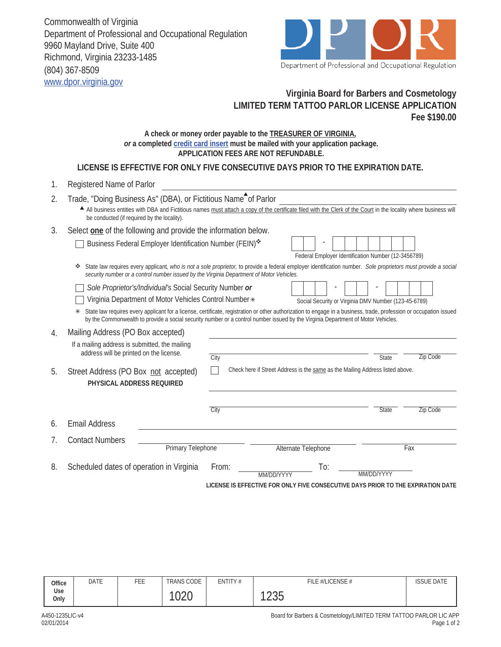Commonwealth of Virginia Department of Professional and Occupational Regulation 9960 Mayland Drive, Suite 400 Richmond, Virginia 23233-1485 (804) 367-8509 www.dpor.virginia.gov



## **Virginia Board for Barbers and Cosmetology LIMITED TERM TATTOO PARLOR LICENSE APPLICATION Fee \$190.00**

## **A check or money order payable to the TREASURER OF VIRGINIA,**  *or* **a completed credit card insert must be mailed with your application package. APPLICATION FEES ARE NOT REFUNDABLE.**

**LICENSE IS EFFECTIVE FOR ONLY FIVE CONSECUTIVE DAYS PRIOR TO THE EXPIRATION DATE.**

| 1. | Registered Name of Parlor                                                                                                                                                                                                                                                                                   |                                                                                                                                                               |                 |  |  |  |  |  |  |
|----|-------------------------------------------------------------------------------------------------------------------------------------------------------------------------------------------------------------------------------------------------------------------------------------------------------------|---------------------------------------------------------------------------------------------------------------------------------------------------------------|-----------------|--|--|--|--|--|--|
| 2. | Trade, "Doing Business As" (DBA), or Fictitious Name <sup>th</sup> of Parlor<br>All business entities with DBA and Fictitious names must attach a copy of the certificate filed with the Clerk of the Court in the locality where business will                                                             |                                                                                                                                                               |                 |  |  |  |  |  |  |
|    | be conducted (if required by the locality).                                                                                                                                                                                                                                                                 |                                                                                                                                                               |                 |  |  |  |  |  |  |
| 3. | Select one of the following and provide the information below.                                                                                                                                                                                                                                              |                                                                                                                                                               |                 |  |  |  |  |  |  |
|    | Business Federal Employer Identification Number (FEIN)*                                                                                                                                                                                                                                                     | Federal Employer Identification Number (12-3456789)                                                                                                           |                 |  |  |  |  |  |  |
|    | ❖<br>security number or a control number issued by the Virginia Department of Motor Vehicles.                                                                                                                                                                                                               | State law requires every applicant, who is not a sole proprietor, to provide a federal employer identification number. Sole proprietors must provide a social |                 |  |  |  |  |  |  |
|    | Sole Proprietor's/Individual's Social Security Number or                                                                                                                                                                                                                                                    |                                                                                                                                                               |                 |  |  |  |  |  |  |
|    | Virginia Department of Motor Vehicles Control Number *                                                                                                                                                                                                                                                      | Social Security or Virginia DMV Number (123-45-6789)                                                                                                          |                 |  |  |  |  |  |  |
|    | State law requires every applicant for a license, certificate, registration or other authorization to engage in a business, trade, profession or occupation issued<br>⋇<br>by the Commonwealth to provide a social security number or a control number issued by the Virginia Department of Motor Vehicles. |                                                                                                                                                               |                 |  |  |  |  |  |  |
| 4. | Mailing Address (PO Box accepted)                                                                                                                                                                                                                                                                           |                                                                                                                                                               |                 |  |  |  |  |  |  |
|    | If a mailing address is submitted, the mailing                                                                                                                                                                                                                                                              |                                                                                                                                                               |                 |  |  |  |  |  |  |
|    | address will be printed on the license.                                                                                                                                                                                                                                                                     | City<br><b>State</b>                                                                                                                                          | <b>Zip Code</b> |  |  |  |  |  |  |
| 5. | Street Address (PO Box not accepted)<br>PHYSICAL ADDRESS REQUIRED                                                                                                                                                                                                                                           | Check here if Street Address is the same as the Mailing Address listed above.                                                                                 |                 |  |  |  |  |  |  |
|    |                                                                                                                                                                                                                                                                                                             |                                                                                                                                                               |                 |  |  |  |  |  |  |
|    |                                                                                                                                                                                                                                                                                                             | City<br><b>State</b>                                                                                                                                          | Zip Code        |  |  |  |  |  |  |
| 6. | <b>Email Address</b>                                                                                                                                                                                                                                                                                        |                                                                                                                                                               |                 |  |  |  |  |  |  |
| 7. | <b>Contact Numbers</b>                                                                                                                                                                                                                                                                                      |                                                                                                                                                               |                 |  |  |  |  |  |  |
|    | <b>Primary Telephone</b>                                                                                                                                                                                                                                                                                    | Alternate Telephone                                                                                                                                           | Fax             |  |  |  |  |  |  |
| 8. | Scheduled dates of operation in Virginia                                                                                                                                                                                                                                                                    | To:<br>From:<br>MM/DD/YYYY<br>MM/DD/YYYY                                                                                                                      |                 |  |  |  |  |  |  |

**LICENSE IS EFFECTIVE FOR ONLY FIVE CONSECUTIVE DAYS PRIOR TO THE EXPIRATION DATE**

| Office      | DATE | FEE | <b>TRANS CODE</b> | ENTITY# | FILE #/LICENSE # | <b>ISSUE DATE</b> |
|-------------|------|-----|-------------------|---------|------------------|-------------------|
| Use<br>Only |      |     | $\Omega$<br>◡∠◡   |         | 100F<br>∠∪       |                   |